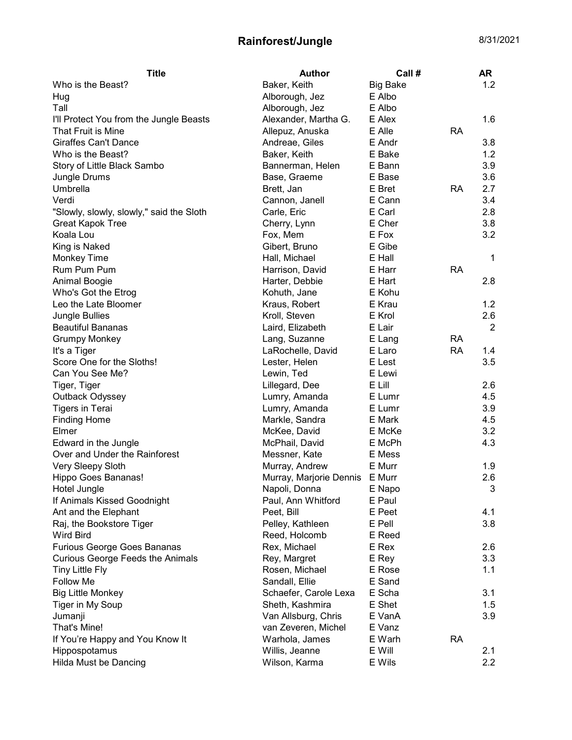## Rainforest/Jungle 8/31/2021

| <b>Title</b>                                                           | <b>Author</b>                     | Call #          |           | AR           |
|------------------------------------------------------------------------|-----------------------------------|-----------------|-----------|--------------|
| Who is the Beast?                                                      | Baker, Keith                      | <b>Big Bake</b> |           | 1.2          |
| Hug                                                                    | Alborough, Jez                    | E Albo          |           |              |
| Tall                                                                   | Alborough, Jez                    | E Albo          |           |              |
| I'll Protect You from the Jungle Beasts                                | Alexander, Martha G.              | E Alex          |           | 1.6          |
| That Fruit is Mine                                                     | Allepuz, Anuska                   | E Alle          | <b>RA</b> |              |
| <b>Giraffes Can't Dance</b>                                            | Andreae, Giles                    | E Andr          |           | 3.8          |
| Who is the Beast?                                                      | Baker, Keith                      | E Bake          |           | 1.2          |
| Story of Little Black Sambo                                            | Bannerman, Helen                  | E Bann          |           | 3.9          |
| Jungle Drums                                                           | Base, Graeme                      | E Base          |           | 3.6          |
| Umbrella                                                               | Brett, Jan                        | E Bret          | <b>RA</b> | 2.7          |
| Verdi                                                                  | Cannon, Janell                    | E Cann          |           | 3.4          |
| "Slowly, slowly, slowly," said the Sloth                               | Carle, Eric                       | E Carl          |           | 2.8          |
| <b>Great Kapok Tree</b>                                                | Cherry, Lynn                      | E Cher          |           | 3.8          |
| Koala Lou                                                              | Fox, Mem                          | E Fox           |           | 3.2          |
| King is Naked                                                          | Gibert, Bruno                     | E Gibe          |           |              |
| Monkey Time                                                            | Hall, Michael                     | E Hall          |           | 1            |
| Rum Pum Pum                                                            | Harrison, David                   | E Harr          | <b>RA</b> |              |
| Animal Boogie                                                          | Harter, Debbie                    | E Hart          |           | 2.8          |
| Who's Got the Etrog                                                    | Kohuth, Jane                      | E Kohu          |           |              |
| Leo the Late Bloomer                                                   | Kraus, Robert                     | E Krau          |           | 1.2          |
| Jungle Bullies                                                         | Kroll, Steven                     | E Krol          |           | 2.6          |
| <b>Beautiful Bananas</b>                                               | Laird, Elizabeth                  | E Lair          |           | 2            |
| <b>Grumpy Monkey</b>                                                   | Lang, Suzanne                     | E Lang          | <b>RA</b> |              |
| It's a Tiger                                                           | LaRochelle, David                 | E Laro          | <b>RA</b> | 1.4          |
| Score One for the Sloths!                                              | Lester, Helen                     | E Lest          |           | 3.5          |
| Can You See Me?                                                        | Lewin, Ted                        | E Lewi          |           |              |
| Tiger, Tiger                                                           | Lillegard, Dee                    | E Lill          |           | 2.6          |
| Outback Odyssey                                                        | Lumry, Amanda                     | E Lumr          |           | 4.5          |
| <b>Tigers in Terai</b>                                                 | Lumry, Amanda                     | E Lumr          |           | 3.9          |
| <b>Finding Home</b>                                                    | Markle, Sandra                    | E Mark          |           | 4.5          |
| Elmer                                                                  | McKee, David                      | E McKe          |           | 3.2          |
| Edward in the Jungle                                                   | McPhail, David                    | E McPh          |           | 4.3          |
| Over and Under the Rainforest                                          | Messner, Kate                     | E Mess          |           |              |
| Very Sleepy Sloth                                                      | Murray, Andrew                    | E Murr          |           | 1.9          |
| Hippo Goes Bananas!                                                    | Murray, Marjorie Dennis E Murr    |                 |           | 2.6          |
| Hotel Jungle                                                           | Napoli, Donna                     | E Napo          |           | $\mathbf{3}$ |
| If Animals Kissed Goodnight                                            | Paul, Ann Whitford                | E Paul          |           |              |
| Ant and the Elephant                                                   | Peet, Bill                        | E Peet          |           | 4.1          |
|                                                                        |                                   | E Pell          |           | 3.8          |
| Raj, the Bookstore Tiger<br><b>Wird Bird</b>                           | Pelley, Kathleen<br>Reed, Holcomb | E Reed          |           |              |
|                                                                        | Rex, Michael                      | E Rex           |           | 2.6          |
| Furious George Goes Bananas<br><b>Curious George Feeds the Animals</b> |                                   |                 |           | 3.3          |
|                                                                        | Rey, Margret                      | E Rey<br>E Rose |           |              |
| <b>Tiny Little Fly</b>                                                 | Rosen, Michael                    |                 |           | 1.1          |
| Follow Me                                                              | Sandall, Ellie                    | E Sand          |           |              |
| <b>Big Little Monkey</b>                                               | Schaefer, Carole Lexa             | E Scha          |           | 3.1          |
| Tiger in My Soup                                                       | Sheth, Kashmira                   | E Shet          |           | 1.5          |
| Jumanji                                                                | Van Allsburg, Chris               | E VanA          |           | 3.9          |
| That's Mine!                                                           | van Zeveren, Michel               | E Vanz          |           |              |
| If You're Happy and You Know It                                        | Warhola, James                    | E Warh          | <b>RA</b> |              |
| Hippospotamus                                                          | Willis, Jeanne                    | E Will          |           | 2.1          |
| <b>Hilda Must be Dancing</b>                                           | Wilson, Karma                     | E Wils          |           | 2.2          |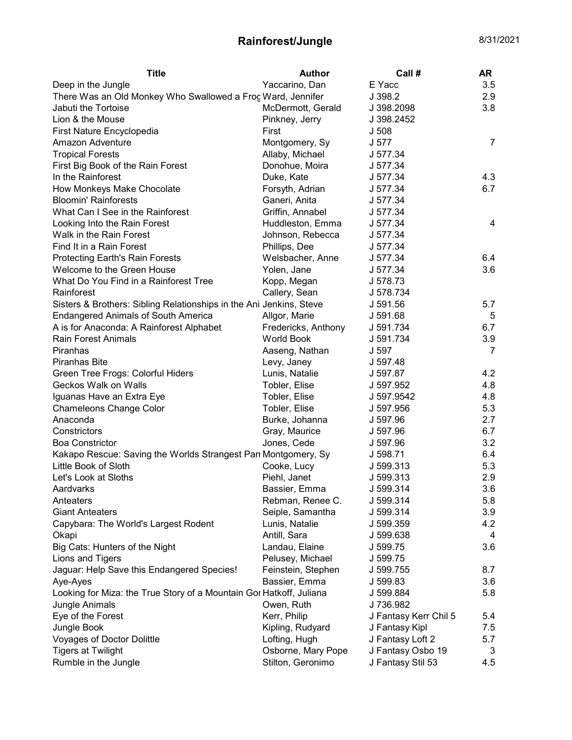## Rainforest/Jungle 8/31/2021

| <b>Title</b>                                                        | <b>Author</b>       | Call#                 | AR  |
|---------------------------------------------------------------------|---------------------|-----------------------|-----|
| Deep in the Jungle                                                  | Yaccarino, Dan      | E Yacc                | 3.5 |
| There Was an Old Monkey Who Swallowed a Frog Ward, Jennifer         |                     | J 398.2               | 2.9 |
| Jabuti the Tortoise                                                 | McDermott, Gerald   | J 398.2098            | 3.8 |
| Lion & the Mouse                                                    | Pinkney, Jerry      | J 398.2452            |     |
| First Nature Encyclopedia                                           | First               | J 508                 |     |
| Amazon Adventure                                                    | Montgomery, Sy      | J 577                 | 7   |
| <b>Tropical Forests</b>                                             | Allaby, Michael     | J 577.34              |     |
| First Big Book of the Rain Forest                                   | Donohue, Moira      | J 577.34              |     |
| In the Rainforest                                                   | Duke, Kate          | J 577.34              | 4.3 |
| How Monkeys Make Chocolate                                          | Forsyth, Adrian     | J 577.34              | 6.7 |
| <b>Bloomin' Rainforests</b>                                         | Ganeri, Anita       | J 577.34              |     |
| What Can I See in the Rainforest                                    | Griffin, Annabel    | J 577.34              |     |
| Looking Into the Rain Forest                                        | Huddleston, Emma    | J 577.34              | 4   |
| Walk in the Rain Forest                                             | Johnson, Rebecca    | J 577.34              |     |
| Find It in a Rain Forest                                            | Phillips, Dee       | J 577.34              |     |
| <b>Protecting Earth's Rain Forests</b>                              | Welsbacher, Anne    | J 577.34              | 6.4 |
| Welcome to the Green House                                          | Yolen, Jane         | J 577.34              | 3.6 |
| What Do You Find in a Rainforest Tree                               | Kopp, Megan         | J 578.73              |     |
| Rainforest                                                          | Callery, Sean       | J 578.734             |     |
| Sisters & Brothers: Sibling Relationships in the Ani Jenkins, Steve |                     | J 591.56              | 5.7 |
| <b>Endangered Animals of South America</b>                          | Allgor, Marie       | J 591.68              | 5   |
| A is for Anaconda: A Rainforest Alphabet                            | Fredericks, Anthony | J 591.734             | 6.7 |
| <b>Rain Forest Animals</b>                                          | <b>World Book</b>   | J 591.734             | 3.9 |
| Piranhas                                                            | Aaseng, Nathan      | J 597                 | 7   |
| <b>Piranhas Bite</b>                                                | Levy, Janey         | J 597.48              |     |
| Green Tree Frogs: Colorful Hiders                                   | Lunis, Natalie      | J 597.87              | 4.2 |
| Geckos Walk on Walls                                                | Tobler, Elise       | J 597.952             | 4.8 |
| Iguanas Have an Extra Eye                                           | Tobler, Elise       | J 597.9542            | 4.8 |
| <b>Chameleons Change Color</b>                                      | Tobler, Elise       | J 597.956             | 5.3 |
| Anaconda                                                            | Burke, Johanna      | J 597.96              | 2.7 |
| Constrictors                                                        | Gray, Maurice       | J 597.96              | 6.7 |
| <b>Boa Constrictor</b>                                              | Jones, Cede         | J 597.96              | 3.2 |
| Kakapo Rescue: Saving the Worlds Strangest Parr Montgomery, Sy      |                     | J 598.71              | 6.4 |
| Little Book of Sloth                                                | Cooke, Lucy         | J 599.313             | 5.3 |
| Let's Look at Sloths                                                | Piehl, Janet        | J 599.313             | 2.9 |
| Aardvarks                                                           | Bassier, Emma       | J 599.314             | 3.6 |
| Anteaters                                                           | Rebman, Renee C.    | J 599.314             | 5.8 |
| <b>Giant Anteaters</b>                                              | Seiple, Samantha    | J 599.314             | 3.9 |
| Capybara: The World's Largest Rodent                                | Lunis, Natalie      | J 599.359             | 4.2 |
| Okapi                                                               | Antill, Sara        | J 599.638             | 4   |
| Big Cats: Hunters of the Night                                      | Landau, Elaine      | J 599.75              | 3.6 |
| Lions and Tigers                                                    | Pelusey, Michael    | J 599.75              |     |
| Jaguar: Help Save this Endangered Species!                          | Feinstein, Stephen  | J 599.755             | 8.7 |
| Aye-Ayes                                                            | Bassier, Emma       | J 599.83              | 3.6 |
| Looking for Miza: the True Story of a Mountain Gor Hatkoff, Juliana |                     | J 599.884             | 5.8 |
| Jungle Animals                                                      | Owen, Ruth          | J 736.982             |     |
| Eye of the Forest                                                   | Kerr, Philip        | J Fantasy Kerr Chil 5 | 5.4 |
| Jungle Book                                                         | Kipling, Rudyard    | J Fantasy Kipl        | 7.5 |
| Voyages of Doctor Dolittle                                          | Lofting, Hugh       | J Fantasy Loft 2      | 5.7 |
| <b>Tigers at Twilight</b>                                           | Osborne, Mary Pope  | J Fantasy Osbo 19     | 3   |
| Rumble in the Jungle                                                | Stilton, Geronimo   | J Fantasy Stil 53     | 4.5 |